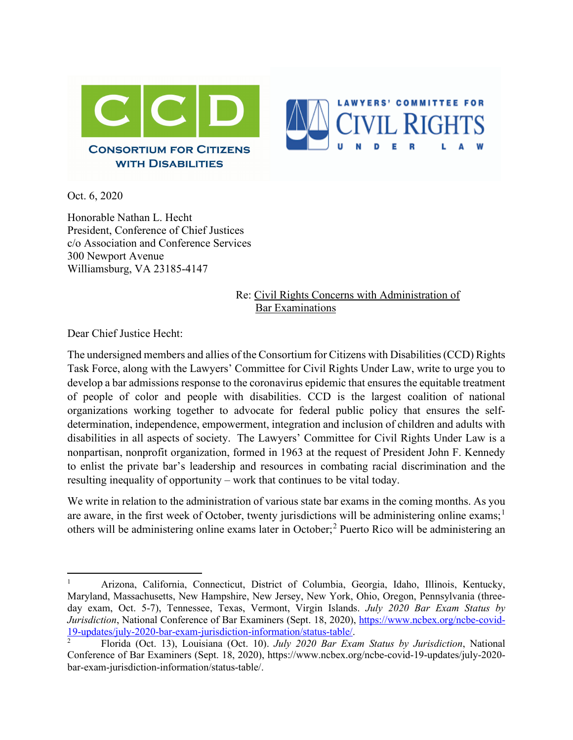



Oct. 6, 2020

Honorable Nathan L. Hecht President, Conference of Chief Justices c/o Association and Conference Services 300 Newport Avenue Williamsburg, VA 23185-4147

> Re: Civil Rights Concerns with Administration of Bar Examinations

Dear Chief Justice Hecht:

The undersigned members and allies of the Consortium for Citizens with Disabilities (CCD) Rights Task Force, along with the Lawyers' Committee for Civil Rights Under Law, write to urge you to develop a bar admissions response to the coronavirus epidemic that ensures the equitable treatment of people of color and people with disabilities. CCD is the largest coalition of national organizations working together to advocate for federal public policy that ensures the selfdetermination, independence, empowerment, integration and inclusion of children and adults with disabilities in all aspects of society. The Lawyers' Committee for Civil Rights Under Law is a nonpartisan, nonprofit organization, formed in 1963 at the request of President John F. Kennedy to enlist the private bar's leadership and resources in combating racial discrimination and the resulting inequality of opportunity – work that continues to be vital today.

We write in relation to the administration of various state bar exams in the coming months. As you are aware, in the first week of October, twenty jurisdictions will be administering online exams;<sup>[1](#page-0-0)</sup> others will be administering online exams later in October;[2](#page-0-1) Puerto Rico will be administering an

<span id="page-0-0"></span><sup>1</sup> Arizona, California, Connecticut, District of Columbia, Georgia, Idaho, Illinois, Kentucky, Maryland, Massachusetts, New Hampshire, New Jersey, New York, Ohio, Oregon, Pennsylvania (threeday exam, Oct. 5-7), Tennessee, Texas, Vermont, Virgin Islands. *July 2020 Bar Exam Status by Jurisdiction*, National Conference of Bar Examiners (Sept. 18, 2020), [https://www.ncbex.org/ncbe-covid-](https://www.ncbex.org/ncbe-covid-19-updates/july-2020-bar-exam-jurisdiction-information/status-table/)[19-updates/july-2020-bar-exam-jurisdiction-information/status-table/.](https://www.ncbex.org/ncbe-covid-19-updates/july-2020-bar-exam-jurisdiction-information/status-table/)

<span id="page-0-1"></span><sup>2</sup> Florida (Oct. 13), Louisiana (Oct. 10). *July 2020 Bar Exam Status by Jurisdiction*, National Conference of Bar Examiners (Sept. 18, 2020), https://www.ncbex.org/ncbe-covid-19-updates/july-2020 bar-exam-jurisdiction-information/status-table/.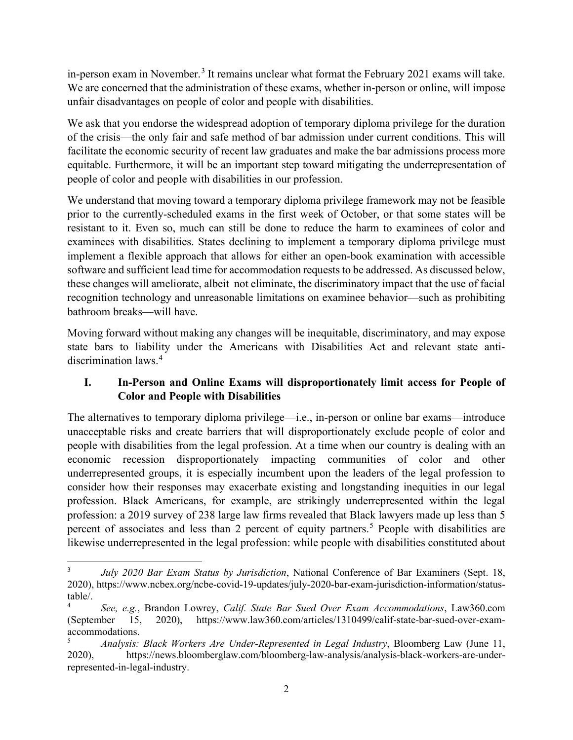in-person exam in November.<sup>[3](#page-1-0)</sup> It remains unclear what format the February 2021 exams will take. We are concerned that the administration of these exams, whether in-person or online, will impose unfair disadvantages on people of color and people with disabilities.

We ask that you endorse the widespread adoption of temporary diploma privilege for the duration of the crisis—the only fair and safe method of bar admission under current conditions. This will facilitate the economic security of recent law graduates and make the bar admissions process more equitable. Furthermore, it will be an important step toward mitigating the underrepresentation of people of color and people with disabilities in our profession.

We understand that moving toward a temporary diploma privilege framework may not be feasible prior to the currently-scheduled exams in the first week of October, or that some states will be resistant to it. Even so, much can still be done to reduce the harm to examinees of color and examinees with disabilities. States declining to implement a temporary diploma privilege must implement a flexible approach that allows for either an open-book examination with accessible software and sufficient lead time for accommodation requests to be addressed. As discussed below, these changes will ameliorate, albeit not eliminate, the discriminatory impact that the use of facial recognition technology and unreasonable limitations on examinee behavior—such as prohibiting bathroom breaks—will have.

Moving forward without making any changes will be inequitable, discriminatory, and may expose state bars to liability under the Americans with Disabilities Act and relevant state antidiscrimination laws.[4](#page-1-1)

# **I. In-Person and Online Exams will disproportionately limit access for People of Color and People with Disabilities**

The alternatives to temporary diploma privilege—i.e., in-person or online bar exams—introduce unacceptable risks and create barriers that will disproportionately exclude people of color and people with disabilities from the legal profession. At a time when our country is dealing with an economic recession disproportionately impacting communities of color and other underrepresented groups, it is especially incumbent upon the leaders of the legal profession to consider how their responses may exacerbate existing and longstanding inequities in our legal profession. Black Americans, for example, are strikingly underrepresented within the legal profession: a 2019 survey of 238 large law firms revealed that Black lawyers made up less than 5 percent of associates and less than 2 percent of equity partners.<sup>[5](#page-1-2)</sup> People with disabilities are likewise underrepresented in the legal profession: while people with disabilities constituted about

<span id="page-1-0"></span><sup>3</sup> *July 2020 Bar Exam Status by Jurisdiction*, National Conference of Bar Examiners (Sept. 18, 2020), https://www.ncbex.org/ncbe-covid-19-updates/july-2020-bar-exam-jurisdiction-information/statustable/.

<span id="page-1-1"></span><sup>4</sup> *See, e.g.*, Brandon Lowrey, *Calif. State Bar Sued Over Exam Accommodations*, Law360.com (September 15, 2020), https://www.law360.com/articles/1310499/calif-state-bar-sued-over-examaccommodations.

<span id="page-1-2"></span><sup>5</sup> *Analysis: Black Workers Are Under-Represented in Legal Industry*, Bloomberg Law (June 11, 2020), https://news.bloomberglaw.com/bloomberg-law-analysis/analysis-black-workers-are-underrepresented-in-legal-industry.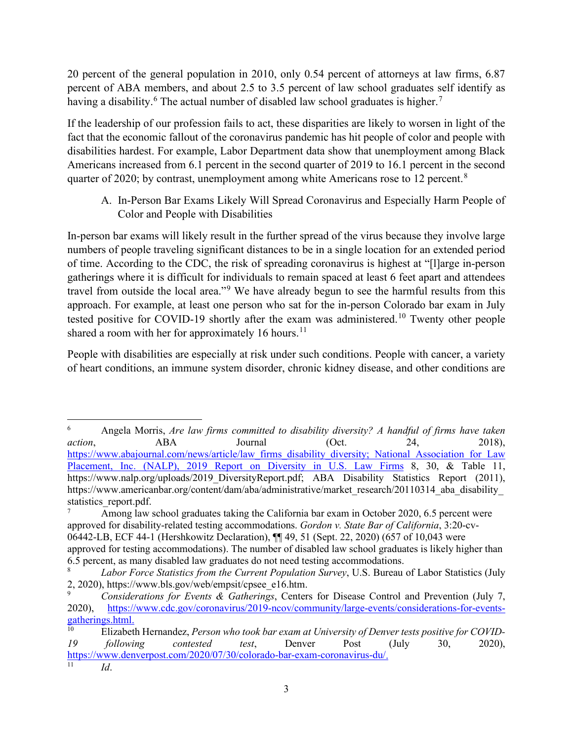20 percent of the general population in 2010, only 0.54 percent of attorneys at law firms, 6.87 percent of ABA members, and about 2.5 to 3.5 percent of law school graduates self identify as having a disability.<sup>[6](#page-2-0)</sup> The actual number of disabled law school graduates is higher.<sup>[7](#page-2-1)</sup>

If the leadership of our profession fails to act, these disparities are likely to worsen in light of the fact that the economic fallout of the coronavirus pandemic has hit people of color and people with disabilities hardest. For example, Labor Department data show that unemployment among Black Americans increased from 6.1 percent in the second quarter of 2019 to 16.1 percent in the second quarter of 2020; by contrast, unemployment among white Americans rose to 12 percent.<sup>[8](#page-2-2)</sup>

A. In-Person Bar Exams Likely Will Spread Coronavirus and Especially Harm People of Color and People with Disabilities

In-person bar exams will likely result in the further spread of the virus because they involve large numbers of people traveling significant distances to be in a single location for an extended period of time. According to the CDC, the risk of spreading coronavirus is highest at "[l]arge in-person gatherings where it is difficult for individuals to remain spaced at least 6 feet apart and attendees travel from outside the local area."<sup>[9](#page-2-3)</sup> We have already begun to see the harmful results from this approach. For example, at least one person who sat for the in-person Colorado bar exam in July tested positive for COVID-19 shortly after the exam was administered.<sup>[10](#page-2-4)</sup> Twenty other people shared a room with her for approximately 16 hours.<sup>[11](#page-2-5)</sup>

People with disabilities are especially at risk under such conditions. People with cancer, a variety of heart conditions, an immune system disorder, chronic kidney disease, and other conditions are

<span id="page-2-0"></span><sup>6</sup> Angela Morris, *Are law firms committed to disability diversity? A handful of firms have taken action*, ABA Journal (Oct. 24, 2018), [https://www.abajournal.com/news/article/law\\_firms\\_disability\\_diversity;](https://www.abajournal.com/news/article/law_firms_disability_diversity) National Association for Law Placement, Inc. (NALP), 2019 Report on Diversity in U.S. Law Firms 8, 30, & Table 11, https://www.nalp.org/uploads/2019 DiversityReport.pdf; ABA Disability Statistics Report (2011), https://www.americanbar.org/content/dam/aba/administrative/market\_research/20110314\_aba\_disability\_ statistics report.pdf.

<span id="page-2-1"></span>Among law school graduates taking the California bar exam in October 2020, 6.5 percent were approved for disability-related testing accommodations. *Gordon v. State Bar of California*, 3:20-cv-06442-LB, ECF 44-1 (Hershkowitz Declaration), ¶¶ 49, 51 (Sept. 22, 2020) (657 of 10,043 were approved for testing accommodations). The number of disabled law school graduates is likely higher than 6.5 percent, as many disabled law graduates do not need testing accommodations.

<span id="page-2-2"></span><sup>8</sup> *Labor Force Statistics from the Current Population Survey*, U.S. Bureau of Labor Statistics (July 2, 2020), https://www.bls.gov/web/empsit/cpsee\_e16.htm.

<span id="page-2-3"></span><sup>9</sup> *Considerations for Events & Gatherings*, Centers for Disease Control and Prevention (July 7, 2020), [https://www.cdc.gov/coronavirus/2019-ncov/community/large-events/considerations-for-events](https://www.cdc.gov/coronavirus/2019-ncov/community/large-events/considerations-for-events-gatherings.html)[gatherings.html.](https://www.cdc.gov/coronavirus/2019-ncov/community/large-events/considerations-for-events-gatherings.html)<br><sup>10</sup> Elizabet

<span id="page-2-4"></span>Elizabeth Hernandez, Person who took bar exam at University of Denver tests positive for COVID-*19 following contested test*, Denver Post (July 30, 2020), [https://www.denverpost.com/2020/07/30/colorado-bar-exam-coronavirus-du/.](https://www.denverpost.com/2020/07/30/colorado-bar-exam-coronavirus-du/)

<span id="page-2-5"></span><sup>11</sup> *Id*.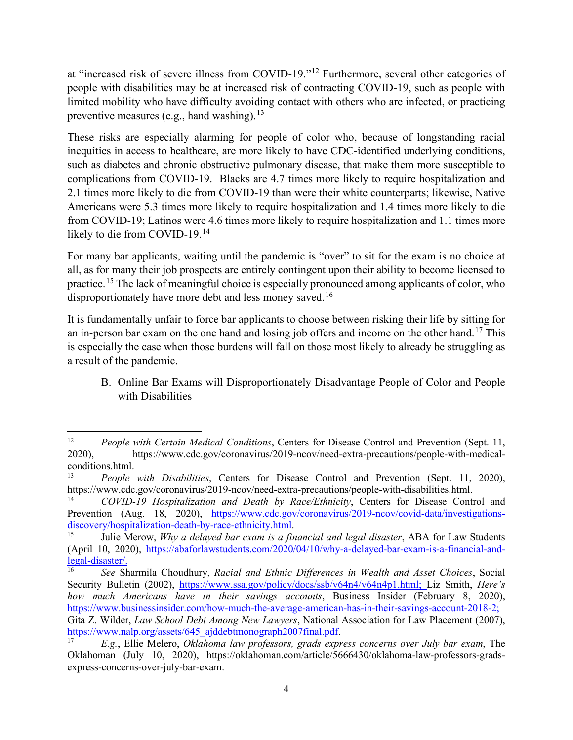at "increased risk of severe illness from COVID-19."[12](#page-3-0) Furthermore, several other categories of people with disabilities may be at increased risk of contracting COVID-19, such as people with limited mobility who have difficulty avoiding contact with others who are infected, or practicing preventive measures (e.g., hand washing).<sup>[13](#page-3-1)</sup>

These risks are especially alarming for people of color who, because of longstanding racial inequities in access to healthcare, are more likely to have CDC-identified underlying conditions, such as diabetes and chronic obstructive pulmonary disease, that make them more susceptible to complications from COVID-19. Blacks are 4.7 times more likely to require hospitalization and 2.1 times more likely to die from COVID-19 than were their white counterparts; likewise, Native Americans were 5.3 times more likely to require hospitalization and 1.4 times more likely to die from COVID-19; Latinos were 4.6 times more likely to require hospitalization and 1.1 times more likely to die from COVID-19.<sup>[14](#page-3-2)</sup>

For many bar applicants, waiting until the pandemic is "over" to sit for the exam is no choice at all, as for many their job prospects are entirely contingent upon their ability to become licensed to practice.<sup>[15](#page-3-3)</sup> The lack of meaningful choice is especially pronounced among applicants of color, who disproportionately have more debt and less money saved.<sup>[16](#page-3-4)</sup>

It is fundamentally unfair to force bar applicants to choose between risking their life by sitting for an in-person bar exam on the one hand and losing job offers and income on the other hand.<sup>[17](#page-3-5)</sup> This is especially the case when those burdens will fall on those most likely to already be struggling as a result of the pandemic.

B. Online Bar Exams will Disproportionately Disadvantage People of Color and People with Disabilities

<span id="page-3-0"></span><sup>&</sup>lt;sup>12</sup> *People with Certain Medical Conditions*, Centers for Disease Control and Prevention (Sept. 11, 2020), https://www.cdc.gov/coronavirus/2019-ncov/need-extra-precautions/people-with-medicalconditions.html.

<span id="page-3-1"></span><sup>13</sup> *People with Disabilities*, Centers for Disease Control and Prevention (Sept. 11, 2020), https://www.cdc.gov/coronavirus/2019-ncov/need-extra-precautions/people-with-disabilities.html.

<span id="page-3-2"></span><sup>14</sup> *COVID-19 Hospitalization and Death by Race/Ethnicity*, Centers for Disease Control and Prevention (Aug. 18, 2020), https://www.cdc.gov/coronavirus/2019-ncov/covid-data/investigations-<br>discovery/hospitalization-death-by-race-ethnicity.html.

<span id="page-3-3"></span><sup>&</sup>lt;sup>15</sup> Julie Merow, *Why a delayed bar exam is a financial and legal disaster*, ABA for Law Students (April 10, 2020), [https://abaforlawstudents.com/2020/04/10/why-a-delayed-bar-exam-is-a-financial-and](https://abaforlawstudents.com/2020/04/10/why-a-delayed-bar-exam-is-a-financial-and-legal-disaster/)[legal-disaster/.](https://abaforlawstudents.com/2020/04/10/why-a-delayed-bar-exam-is-a-financial-and-legal-disaster/)

<span id="page-3-4"></span><sup>16</sup> *See* Sharmila Choudhury, *Racial and Ethnic Differences in Wealth and Asset Choices*, Social Security Bulletin (2002), [https://www.ssa.gov/policy/docs/ssb/v64n4/v64n4p1.html;](https://www.ssa.gov/policy/docs/ssb/v64n4/v64n4p1.html) Liz Smith, *Here's how much Americans have in their savings accounts*, Business Insider (February 8, 2020), [https://www.businessinsider.com/how-much-the-average-american-has-in-their-savings-account-2018-2;](https://www.businessinsider.com/how-much-the-average-american-has-in-their-savings-account-2018-2) Gita Z. Wilder, *Law School Debt Among New Lawyers*, National Association for Law Placement (2007),

[https://www.nalp.org/assets/645\\_ajddebtmonograph2007final.pdf.](https://www.nalp.org/assets/645_ajddebtmonograph2007final.pdf)

<span id="page-3-5"></span><sup>17</sup> *E.g.*, Ellie Melero, *Oklahoma law professors, grads express concerns over July bar exam*, The Oklahoman (July 10, 2020), https://oklahoman.com/article/5666430/oklahoma-law-professors-gradsexpress-concerns-over-july-bar-exam.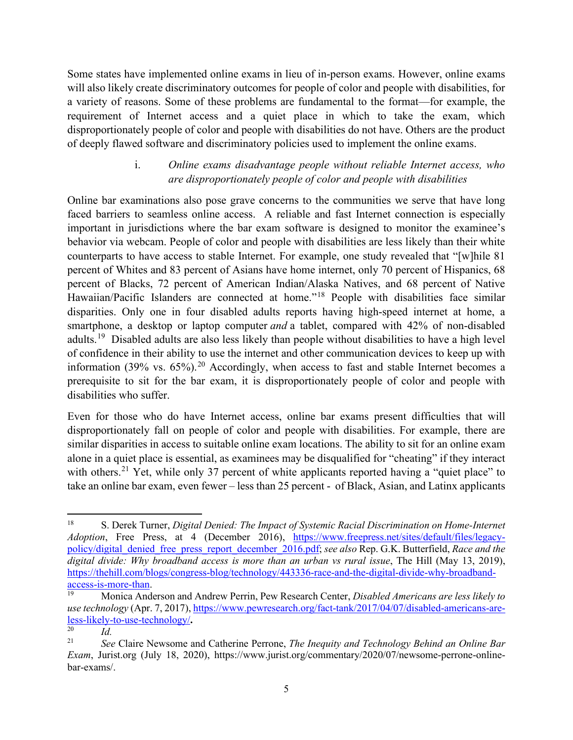Some states have implemented online exams in lieu of in-person exams. However, online exams will also likely create discriminatory outcomes for people of color and people with disabilities, for a variety of reasons. Some of these problems are fundamental to the format—for example, the requirement of Internet access and a quiet place in which to take the exam, which disproportionately people of color and people with disabilities do not have. Others are the product of deeply flawed software and discriminatory policies used to implement the online exams.

#### i. *Online exams disadvantage people without reliable Internet access, who are disproportionately people of color and people with disabilities*

Online bar examinations also pose grave concerns to the communities we serve that have long faced barriers to seamless online access. A reliable and fast Internet connection is especially important in jurisdictions where the bar exam software is designed to monitor the examinee's behavior via webcam. People of color and people with disabilities are less likely than their white counterparts to have access to stable Internet. For example, one study revealed that "[w]hile 81 percent of Whites and 83 percent of Asians have home internet, only 70 percent of Hispanics, 68 percent of Blacks, 72 percent of American Indian/Alaska Natives, and 68 percent of Native Hawaiian/Pacific Islanders are connected at home."<sup>[18](#page-4-0)</sup> People with disabilities face similar disparities. Only one in four disabled adults reports having high-speed internet at home, a smartphone, a desktop or laptop computer *and* a tablet, compared with 42% of non-disabled adults.<sup>[19](#page-4-1)</sup> Disabled adults are also less likely than people without disabilities to have a high level of confidence in their ability to use the internet and other communication devices to keep up with information (39% vs.  $65\%$ ).<sup>[20](#page-4-2)</sup> Accordingly, when access to fast and stable Internet becomes a prerequisite to sit for the bar exam, it is disproportionately people of color and people with disabilities who suffer.

Even for those who do have Internet access, online bar exams present difficulties that will disproportionately fall on people of color and people with disabilities. For example, there are similar disparities in access to suitable online exam locations. The ability to sit for an online exam alone in a quiet place is essential, as examinees may be disqualified for "cheating" if they interact with others.<sup>[21](#page-4-3)</sup> Yet, while only 37 percent of white applicants reported having a "quiet place" to take an online bar exam, even fewer – less than 25 percent - of Black, Asian, and Latinx applicants

<span id="page-4-0"></span><sup>18</sup> S. Derek Turner, *Digital Denied: The Impact of Systemic Racial Discrimination on Home-Internet Adoption*, Free Press, at 4 (December 2016), [https://www.freepress.net/sites/default/files/legacy](https://www.freepress.net/sites/default/files/legacy-policy/digital_denied_free_press_report_december_2016.pdf)[policy/digital\\_denied\\_free\\_press\\_report\\_december\\_2016.pdf;](https://www.freepress.net/sites/default/files/legacy-policy/digital_denied_free_press_report_december_2016.pdf) *see also* Rep. G.K. Butterfield, *Race and the digital divide: Why broadband access is more than an urban vs rural issue*, The Hill (May 13, 2019), [https://thehill.com/blogs/congress-blog/technology/443336-race-and-the-digital-divide-why-broadband](https://thehill.com/blogs/congress-blog/technology/443336-race-and-the-digital-divide-why-broadband-access-is-more-than)[access-is-more-than.](https://thehill.com/blogs/congress-blog/technology/443336-race-and-the-digital-divide-why-broadband-access-is-more-than)

<span id="page-4-1"></span><sup>19</sup> Monica Anderson and Andrew Perrin, Pew Research Center, *Disabled Americans are less likely to use technology* (Apr. 7, 2017), [https://www.pewresearch.org/fact-tank/2017/04/07/disabled-americans-are](https://www.pewresearch.org/fact-tank/2017/04/07/disabled-americans-are-less-likely-to-use-technology/)[less-likely-to-use-technology/](https://www.pewresearch.org/fact-tank/2017/04/07/disabled-americans-are-less-likely-to-use-technology/)**.**

<span id="page-4-2"></span> $\frac{20}{21}$  *Id.* 

<span id="page-4-3"></span><sup>21</sup> *See* Claire Newsome and Catherine Perrone, *The Inequity and Technology Behind an Online Bar Exam*, Jurist.org (July 18, 2020), https://www.jurist.org/commentary/2020/07/newsome-perrone-onlinebar-exams/.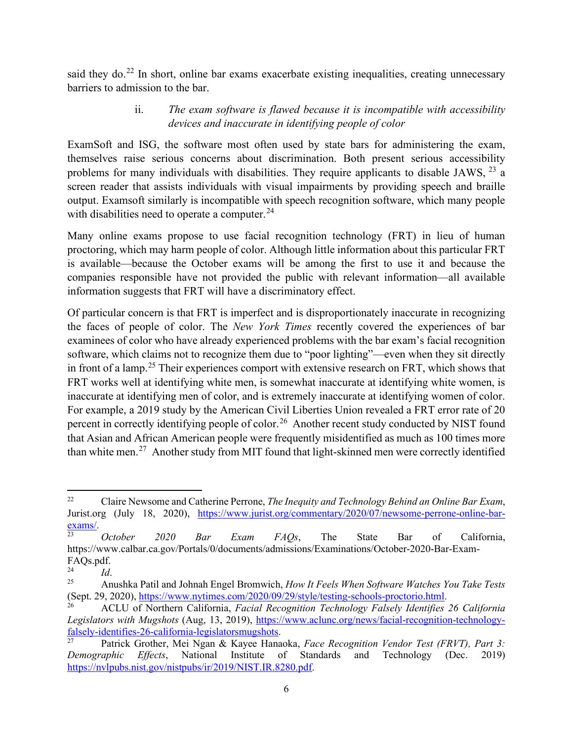said they do.<sup>[22](#page-5-0)</sup> In short, online bar exams exacerbate existing inequalities, creating unnecessary barriers to admission to the bar.

# ii. *The exam software is flawed because it is incompatible with accessibility devices and inaccurate in identifying people of color*

ExamSoft and ISG, the software most often used by state bars for administering the exam, themselves raise serious concerns about discrimination. Both present serious accessibility problems for many individuals with disabilities. They require applicants to disable JAWS,  $^{23}$  $^{23}$  $^{23}$  a screen reader that assists individuals with visual impairments by providing speech and braille output. Examsoft similarly is incompatible with speech recognition software, which many people with disabilities need to operate a computer. $^{24}$  $^{24}$  $^{24}$ 

Many online exams propose to use facial recognition technology (FRT) in lieu of human proctoring, which may harm people of color. Although little information about this particular FRT is available—because the October exams will be among the first to use it and because the companies responsible have not provided the public with relevant information—all available information suggests that FRT will have a discriminatory effect.

Of particular concern is that FRT is imperfect and is disproportionately inaccurate in recognizing the faces of people of color. The *New York Times* recently covered the experiences of bar examinees of color who have already experienced problems with the bar exam's facial recognition software, which claims not to recognize them due to "poor lighting"—even when they sit directly in front of a lamp.<sup>[25](#page-5-3)</sup> Their experiences comport with extensive research on FRT, which shows that FRT works well at identifying white men, is somewhat inaccurate at identifying white women, is inaccurate at identifying men of color, and is extremely inaccurate at identifying women of color. For example, a 2019 study by the American Civil Liberties Union revealed a FRT error rate of 20 percent in correctly identifying people of color.<sup>[26](#page-5-4)</sup> Another recent study conducted by NIST found that Asian and African American people were frequently misidentified as much as 100 times more than white men.[27](#page-5-5) Another study from MIT found that light-skinned men were correctly identified

<span id="page-5-0"></span><sup>22</sup> Claire Newsome and Catherine Perrone, *The Inequity and Technology Behind an Online Bar Exam*, Jurist.org (July 18, 2020), [https://www.jurist.org/commentary/2020/07/newsome-perrone-online-bar-](https://www.jurist.org/commentary/2020/07/newsome-perrone-online-bar-exams/)

<span id="page-5-1"></span>[exams/.](https://www.jurist.org/commentary/2020/07/newsome-perrone-online-bar-exams/) 23 *October 2020 Bar Exam FAQs*, The State Bar of California, https://www.calbar.ca.gov/Portals/0/documents/admissions/Examinations/October-2020-Bar-Exam-FAQs.pdf.<br> $^{24}_{24}$ 

<span id="page-5-2"></span> $\frac{24}{25}$  *Id.* 

<span id="page-5-3"></span><sup>25</sup> Anushka Patil and Johnah Engel Bromwich, *How It Feels When Software Watches You Take Tests* (Sept. 29, 2020), [https://www.nytimes.com/2020/09/29/style/testing-schools-proctorio.html.](https://www.nytimes.com/2020/09/29/style/testing-schools-proctorio.html) 26 ACLU of Northern California, *Facial Recognition Technology Falsely Identifies 26 California* 

<span id="page-5-4"></span>*Legislators with Mugshots* (Aug, 13, 2019), [https://www.aclunc.org/news/facial-recognition-technology](https://www.aclunc.org/news/facial-recognition-technology-falsely-identifies-26-california-legislatorsmugshots)[falsely-identifies-26-california-legislatorsmugshots.](https://www.aclunc.org/news/facial-recognition-technology-falsely-identifies-26-california-legislatorsmugshots)

<span id="page-5-5"></span><sup>27</sup> Patrick Grother, Mei Ngan & Kayee Hanaoka, *Face Recognition Vendor Test (FRVT), Part 3: Demographic Effects*, National Institute of Standards and Technology (Dec. 2019) [https://nvlpubs.nist.gov/nistpubs/ir/2019/NIST.IR.8280.pdf.](https://nvlpubs.nist.gov/nistpubs/ir/2019/NIST.IR.8280.pdf)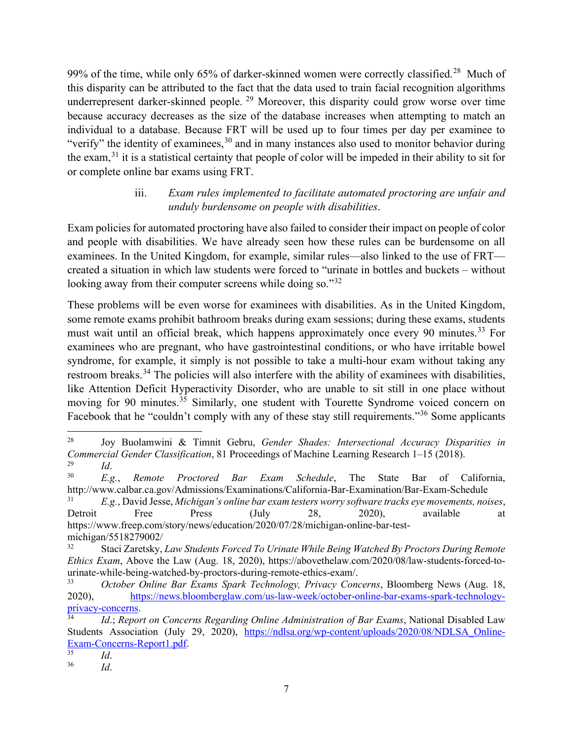99% of the time, while only 65% of darker-skinned women were correctly classified.<sup>[28](#page-6-0)</sup> Much of this disparity can be attributed to the fact that the data used to train facial recognition algorithms underrepresent darker-skinned people.<sup>[29](#page-6-1)</sup> Moreover, this disparity could grow worse over time because accuracy decreases as the size of the database increases when attempting to match an individual to a database. Because FRT will be used up to four times per day per examinee to "verify" the identity of examinees,  $30$  and in many instances also used to monitor behavior during the exam,[31](#page-6-3) it is a statistical certainty that people of color will be impeded in their ability to sit for or complete online bar exams using FRT.

## iii. *Exam rules implemented to facilitate automated proctoring are unfair and unduly burdensome on people with disabilities*.

Exam policies for automated proctoring have also failed to consider their impact on people of color and people with disabilities. We have already seen how these rules can be burdensome on all examinees. In the United Kingdom, for example, similar rules—also linked to the use of FRT created a situation in which law students were forced to "urinate in bottles and buckets – without looking away from their computer screens while doing so."<sup>[32](#page-6-4)</sup>

These problems will be even worse for examinees with disabilities. As in the United Kingdom, some remote exams prohibit bathroom breaks during exam sessions; during these exams, students must wait until an official break, which happens approximately once every 90 minutes.<sup>[33](#page-6-5)</sup> For examinees who are pregnant, who have gastrointestinal conditions, or who have irritable bowel syndrome, for example, it simply is not possible to take a multi-hour exam without taking any restroom breaks.<sup>[34](#page-6-6)</sup> The policies will also interfere with the ability of examinees with disabilities, like Attention Deficit Hyperactivity Disorder, who are unable to sit still in one place without moving for 90 minutes.<sup>[35](#page-6-7)</sup> Similarly, one student with Tourette Syndrome voiced concern on Facebook that he "couldn't comply with any of these stay still requirements."<sup>[36](#page-6-8)</sup> Some applicants

<span id="page-6-0"></span><sup>28</sup> Joy Buolamwini & Timnit Gebru, *Gender Shades: Intersectional Accuracy Disparities in Commercial Gender Classification*, 81 Proceedings of Machine Learning Research 1–15 (2018).  $\frac{29}{30}$  *Id.* 

<span id="page-6-2"></span><span id="page-6-1"></span><sup>30</sup> *E.g.*, *Remote Proctored Bar Exam Schedule*, The State Bar of California, http://www.calbar.ca.gov/Admissions/Examinations/California-Bar-Examination/Bar-Exam-Schedule

<span id="page-6-3"></span><sup>31</sup> *E.g.*, David Jesse, *Michigan's online bar exam testers worry software tracks eye movements, noises*, Detroit Free Press (July 28, 2020), available at https://www.freep.com/story/news/education/2020/07/28/michigan-online-bar-testmichigan/5518279002/

<span id="page-6-4"></span><sup>32</sup> Staci Zaretsky, *Law Students Forced To Urinate While Being Watched By Proctors During Remote Ethics Exam*, Above the Law (Aug. 18, 2020), https://abovethelaw.com/2020/08/law-students-forced-tourinate-while-being-watched-by-proctors-during-remote-ethics-exam/.

<span id="page-6-5"></span><sup>33</sup> *October Online Bar Exams Spark Technology, Privacy Concerns*, Bloomberg News (Aug. 18, 2020), [https://news.bloomberglaw.com/us-law-week/october-online-bar-exams-spark-technology](https://news.bloomberglaw.com/us-law-week/october-online-bar-exams-spark-technology-privacy-concerns)[privacy-concerns.](https://news.bloomberglaw.com/us-law-week/october-online-bar-exams-spark-technology-privacy-concerns) 34 *Id*.; *Report on Concerns Regarding Online Administration of Bar Exams*, National Disabled Law

<span id="page-6-6"></span>Students Association (July 29, 2020), https://ndlsa.org/wp-content/uploads/2020/08/NDLSA Online-[Exam-Concerns-Report1.pdf.](https://ndlsa.org/wp-content/uploads/2020/08/NDLSA_Online-Exam-Concerns-Report1.pdf)<br>
Id

<span id="page-6-8"></span><span id="page-6-7"></span> $rac{35}{36}$  *Id.* 

<sup>36</sup> *Id*.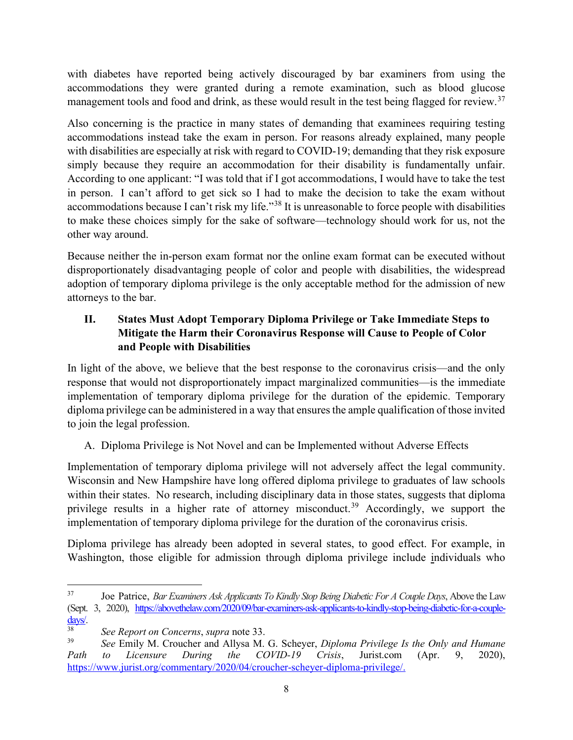with diabetes have reported being actively discouraged by bar examiners from using the accommodations they were granted during a remote examination, such as blood glucose management tools and food and drink, as these would result in the test being flagged for review.<sup>[37](#page-7-0)</sup>

Also concerning is the practice in many states of demanding that examinees requiring testing accommodations instead take the exam in person. For reasons already explained, many people with disabilities are especially at risk with regard to COVID-19; demanding that they risk exposure simply because they require an accommodation for their disability is fundamentally unfair. According to one applicant: "I was told that if I got accommodations, I would have to take the test in person. I can't afford to get sick so I had to make the decision to take the exam without accommodations because I can't risk my life."<sup>[38](#page-7-1)</sup> It is unreasonable to force people with disabilities to make these choices simply for the sake of software—technology should work for us, not the other way around.

Because neither the in-person exam format nor the online exam format can be executed without disproportionately disadvantaging people of color and people with disabilities, the widespread adoption of temporary diploma privilege is the only acceptable method for the admission of new attorneys to the bar.

# **II. States Must Adopt Temporary Diploma Privilege or Take Immediate Steps to Mitigate the Harm their Coronavirus Response will Cause to People of Color and People with Disabilities**

In light of the above, we believe that the best response to the coronavirus crisis—and the only response that would not disproportionately impact marginalized communities—is the immediate implementation of temporary diploma privilege for the duration of the epidemic. Temporary diploma privilege can be administered in a way that ensures the ample qualification of those invited to join the legal profession.

# A. Diploma Privilege is Not Novel and can be Implemented without Adverse Effects

Implementation of temporary diploma privilege will not adversely affect the legal community. Wisconsin and New Hampshire have long offered diploma privilege to graduates of law schools within their states. No research, including disciplinary data in those states, suggests that diploma privilege results in a higher rate of attorney misconduct.<sup>[39](#page-7-2)</sup> Accordingly, we support the implementation of temporary diploma privilege for the duration of the coronavirus crisis.

Diploma privilege has already been adopted in several states, to good effect. For example, in Washington, those eligible for admission through diploma privilege include individuals who

<span id="page-7-0"></span><sup>37</sup> Joe Patrice, *Bar Examiners Ask Applicants To Kindly Stop Being Diabetic For A Couple Days*, Above the Law (Sept. 3, 2020), [https://abovethelaw.com/2020/09/bar-examiners-ask-applicants-to-kindly-stop-being-diabetic-for-a-couple-](https://abovethelaw.com/2020/09/bar-examiners-ask-applicants-to-kindly-stop-being-diabetic-for-a-couple-days/)

<span id="page-7-1"></span>[days/.](https://abovethelaw.com/2020/09/bar-examiners-ask-applicants-to-kindly-stop-being-diabetic-for-a-couple-days/) 38 *See Report on Concerns*, *supra* note 33.

<span id="page-7-2"></span><sup>39</sup> *See* Emily M. Croucher and Allysa M. G. Scheyer, *Diploma Privilege Is the Only and Humane Path to Licensure During the COVID-19 Crisis*, Jurist.com (Apr. 9, 2020), [https://www.jurist.org/commentary/2020/04/croucher-scheyer-diploma-privilege/.](https://www.jurist.org/commentary/2020/04/croucher-scheyer-diploma-privilege/)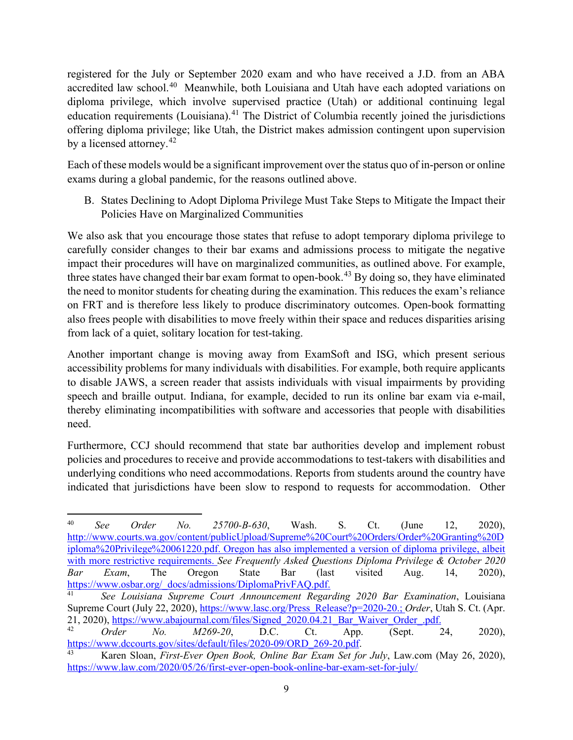registered for the July or September 2020 exam and who have received a J.D. from an ABA accredited law school.<sup>[40](#page-8-0)</sup> Meanwhile, both Louisiana and Utah have each adopted variations on diploma privilege, which involve supervised practice (Utah) or additional continuing legal education requirements (Louisiana).<sup>[41](#page-8-1)</sup> The District of Columbia recently joined the jurisdictions offering diploma privilege; like Utah, the District makes admission contingent upon supervision by a licensed attorney.<sup>[42](#page-8-2)</sup>

Each of these models would be a significant improvement over the status quo of in-person or online exams during a global pandemic, for the reasons outlined above.

B. States Declining to Adopt Diploma Privilege Must Take Steps to Mitigate the Impact their Policies Have on Marginalized Communities

We also ask that you encourage those states that refuse to adopt temporary diploma privilege to carefully consider changes to their bar exams and admissions process to mitigate the negative impact their procedures will have on marginalized communities, as outlined above. For example, three states have changed their bar exam format to open-book.<sup>[43](#page-8-3)</sup> By doing so, they have eliminated the need to monitor students for cheating during the examination. This reduces the exam's reliance on FRT and is therefore less likely to produce discriminatory outcomes. Open-book formatting also frees people with disabilities to move freely within their space and reduces disparities arising from lack of a quiet, solitary location for test-taking.

Another important change is moving away from ExamSoft and ISG, which present serious accessibility problems for many individuals with disabilities. For example, both require applicants to disable JAWS, a screen reader that assists individuals with visual impairments by providing speech and braille output. Indiana, for example, decided to run its online bar exam via e-mail, thereby eliminating incompatibilities with software and accessories that people with disabilities need.

Furthermore, CCJ should recommend that state bar authorities develop and implement robust policies and procedures to receive and provide accommodations to test-takers with disabilities and underlying conditions who need accommodations. Reports from students around the country have indicated that jurisdictions have been slow to respond to requests for accommodation. Other

<span id="page-8-0"></span><sup>40</sup> *See Order No. 25700-B-630*, Wash. S. Ct. (June 12, 2020), [http://www.courts.wa.gov/content/publicUpload/Supreme%20Court%20Orders/Order%20Granting%20D](http://www.courts.wa.gov/content/publicUpload/Supreme%20Court%20Orders/Order%20Granting%20Diploma%20Privilege%20061220.pdf) [iploma%20Privilege%20061220.pdf.](http://www.courts.wa.gov/content/publicUpload/Supreme%20Court%20Orders/Order%20Granting%20Diploma%20Privilege%20061220.pdf) Oregon has also implemented a version of diploma privilege, albeit with more restrictive requirements. *See Frequently Asked Questions Diploma Privilege & October 2020 Bar Exam*, The Oregon State Bar (last visited Aug. 14, 2020), [https://www.osbar.org/\\_docs/admissions/DiplomaPrivFAQ.pdf.](https://www.osbar.org/_docs/admissions/DiplomaPrivFAQ.pdf)

<span id="page-8-1"></span><sup>41</sup> *See Louisiana Supreme Court Announcement Regarding 2020 Bar Examination*, Louisiana Supreme Court (July 22, 2020), [https://www.lasc.org/Press\\_Release?p=2020-20.](https://www.lasc.org/Press_Release?p=2020-20); *Order*, Utah S. Ct. (Apr. 21, 2020)[, https://www.abajournal.com/files/Signed\\_2020.04.21\\_Bar\\_Waiver\\_Order\\_.pdf.](https://www.abajournal.com/files/Signed_2020.04.21_Bar_Waiver_Order_.pdf)

<span id="page-8-2"></span><sup>42</sup> *Order No. M269-20*, D.C. Ct. App. (Sept. 24, 2020), [https://www.dccourts.gov/sites/default/files/2020-09/ORD\\_269-20.pdf.](https://www.dccourts.gov/sites/default/files/2020-09/ORD_269-20.pdf) 43 Karen Sloan, *First-Ever Open Book, Online Bar Exam Set for July*, Law.com (May 26, 2020),

<span id="page-8-3"></span><https://www.law.com/2020/05/26/first-ever-open-book-online-bar-exam-set-for-july/>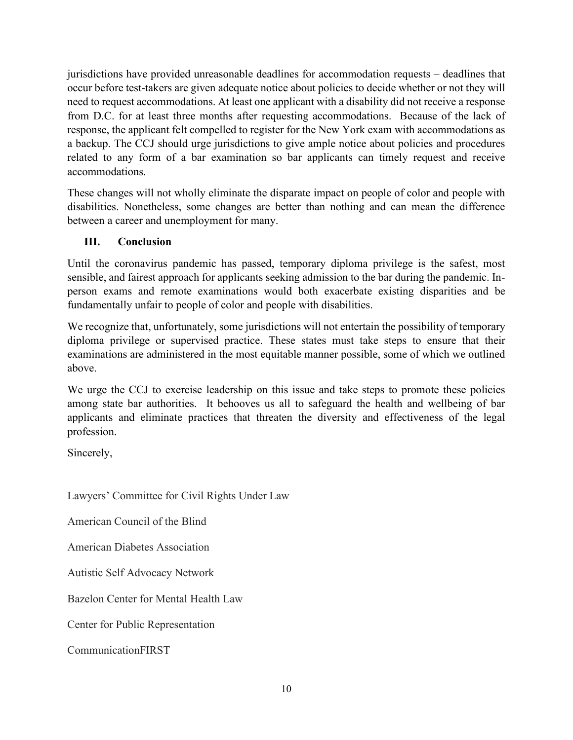jurisdictions have provided unreasonable deadlines for accommodation requests – deadlines that occur before test-takers are given adequate notice about policies to decide whether or not they will need to request accommodations. At least one applicant with a disability did not receive a response from D.C. for at least three months after requesting accommodations. Because of the lack of response, the applicant felt compelled to register for the New York exam with accommodations as a backup. The CCJ should urge jurisdictions to give ample notice about policies and procedures related to any form of a bar examination so bar applicants can timely request and receive accommodations.

These changes will not wholly eliminate the disparate impact on people of color and people with disabilities. Nonetheless, some changes are better than nothing and can mean the difference between a career and unemployment for many.

### **III. Conclusion**

Until the coronavirus pandemic has passed, temporary diploma privilege is the safest, most sensible, and fairest approach for applicants seeking admission to the bar during the pandemic. Inperson exams and remote examinations would both exacerbate existing disparities and be fundamentally unfair to people of color and people with disabilities.

We recognize that, unfortunately, some jurisdictions will not entertain the possibility of temporary diploma privilege or supervised practice. These states must take steps to ensure that their examinations are administered in the most equitable manner possible, some of which we outlined above.

We urge the CCJ to exercise leadership on this issue and take steps to promote these policies among state bar authorities. It behooves us all to safeguard the health and wellbeing of bar applicants and eliminate practices that threaten the diversity and effectiveness of the legal profession.

Sincerely,

Lawyers' Committee for Civil Rights Under Law

American Council of the Blind

American Diabetes Association

Autistic Self Advocacy Network

Bazelon Center for Mental Health Law

Center for Public Representation

CommunicationFIRST